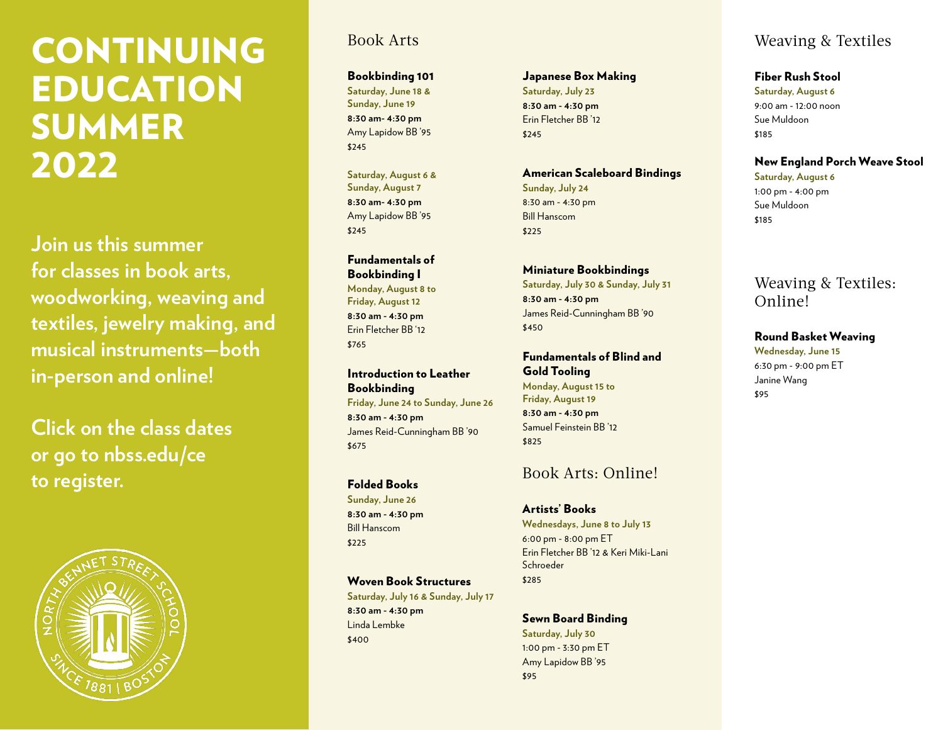# CONTINUING EDUCATION SUMMER 2022

**Join us this summer for classes in book arts, woodworking, weaving and textiles, jewelry making, and musical instruments—both in-person and online!**

**Click on the class dates or go to [nbss.edu/ce](https://www.nbss.edu/continuing-education/overview) to register.**



### Book Arts

Bookbinding 101 **[Saturday, June 18 &](https://app.getoccasion.com/xp/wsPTCq6T)  [Sunday, June 19](https://app.getoccasion.com/xp/wsPTCq6T) 8:30 am- 4:30 pm**

Amy Lapidow BB '95 \$245 **[Saturday, August 6 &](https://app.getoccasion.com/xp/W3T4SChS)** 

**[Sunday, August 7](https://app.getoccasion.com/xp/W3T4SChS) 8:30 am- 4:30 pm** Amy Lapidow BB '95 \$245

### Fundamentals of Bookbinding I

**[Monday, August 8 to](https://app.getoccasion.com/xp/QltPR6Jg)  [Friday, August 12](https://app.getoccasion.com/xp/QltPR6Jg) 8:30 am - 4:30 pm** Erin Fletcher BB '12 \$765

### Introduction to Leather Bookbinding

**[Friday, June 24 to Sunday, June 26](https://app.getoccasion.com/xp/3vkJ9jTN) 8:30 am - 4:30 pm** James Reid-Cunningham BB '90 \$675

### Folded Books

**[Sunday, June 26](https://app.getoccasion.com/xp/vfJpGPfF) 8:30 am - 4:30 pm** Bill Hanscom \$225

Woven Book Structures **[Saturday, July 16 & Sunday, July 17](https://app.getoccasion.com/xp/4hRjGgWg)**

**8:30 am - 4:30 pm** Linda Lembke \$400

### Japanese Box Making

**[Saturday, July 23](https://app.getoccasion.com/xp/kGkHc7m9) 8:30 am - 4:30 pm** Erin Fletcher BB '12 \$245

#### American Scaleboard Bindings

**[Sunday, July 24](https://app.getoccasion.com/xp/hcbxmBxm)** 8:30 am - 4:30 pm Bill Hanscom \$225

#### Miniature Bookbindings

**[Saturday, July 30 & Sunday, July 31](https://app.getoccasion.com/xp/sWQLhgc8) 8:30 am - 4:30 pm** James Reid-Cunningham BB '90 \$450

### Fundamentals of Blind and

Gold Tooling **[Monday, August 15 to](https://app.getoccasion.com/xp/Glps2D2M) [Friday, August 19](https://app.getoccasion.com/xp/Glps2D2M) 8:30 am - 4:30 pm** Samuel Feinstein BB '12 \$825

### Book Arts: Online!

Artists' Books **[Wednesdays, June 8 to July 13](https://app.getoccasion.com/xp/PVC6dGS2)** 6:00 pm - 8:00 pm ET Erin Fletcher BB '12 & Keri Miki-Lani Schroeder \$285

### Sewn Board Binding

**[Saturday, July 30](https://app.getoccasion.com/xp/tNkMFS7p)** 1:00 pm - 3:30 pm ET Amy Lapidow BB '95 \$95

### Weaving & Textiles

#### Fiber Rush Stool

**[Saturday, August 6](https://app.getoccasion.com/xp/j9M9GM8K)** 9:00 am - 12:00 noon Sue Muldoon \$185

### New England Porch Weave Stool

**[Saturday, August 6](https://app.getoccasion.com/xp/z7gfHwdf)** 1:00 pm - 4:00 pm Sue Muldoon \$185

### Weaving & Textiles: Online!

Round Basket Weaving **[Wednesday, June 15](https://app.getoccasion.com/xp/gKjvVtSq)** 6:30 pm - 9:00 pm ET Janine Wang \$95